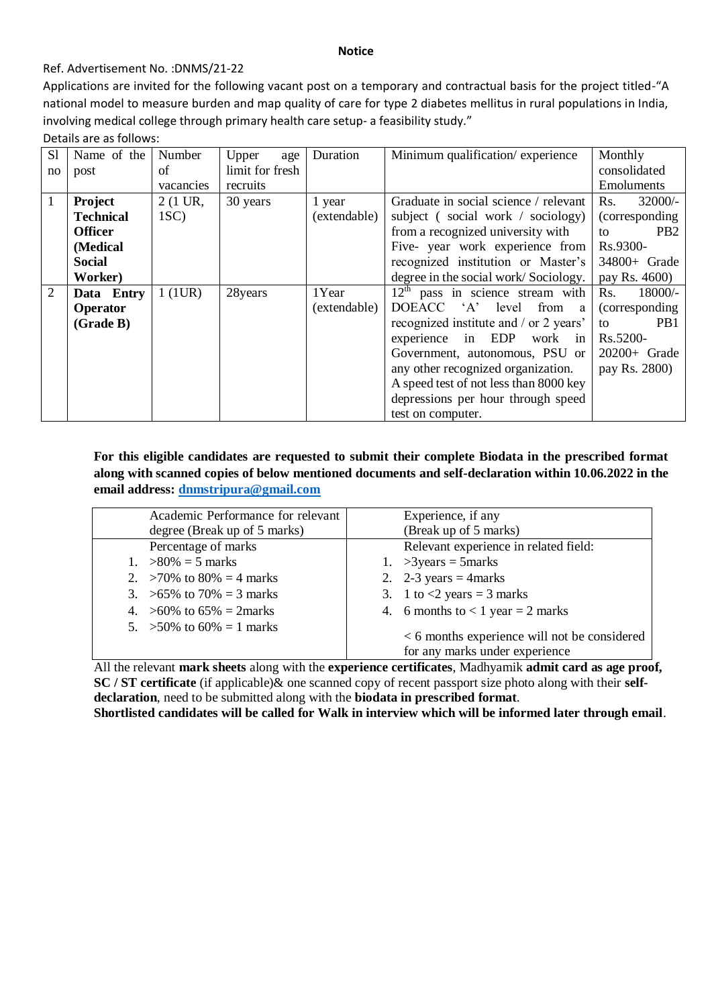#### **Notice**

### Ref. Advertisement No. :DNMS/21-22

Applications are invited for the following vacant post on a temporary and contractual basis for the project titled-"A national model to measure burden and map quality of care for type 2 diabetes mellitus in rural populations in India, involving medical college through primary health care setup- a feasibility study."

Details are as follows:

| S1 | Name of the      | Number    | Upper<br>age    | Duration     | Minimum qualification/experience        | Monthly               |  |
|----|------------------|-----------|-----------------|--------------|-----------------------------------------|-----------------------|--|
| no | post             | of        | limit for fresh |              |                                         | consolidated          |  |
|    |                  | vacancies | recruits        |              |                                         | <b>Emoluments</b>     |  |
| 1  | <b>Project</b>   | 2 (1 UR,  | 30 years        | 1 year       | Graduate in social science / relevant   | $32000/-$<br>Rs.      |  |
|    | <b>Technical</b> | $1SC$ )   |                 | (extendable) | subject (social work / sociology)       | (corresponding)       |  |
|    | <b>Officer</b>   |           |                 |              | from a recognized university with       | PB <sub>2</sub><br>tΩ |  |
|    | (Medical         |           |                 |              | Five- year work experience from         | Rs.9300-              |  |
|    | <b>Social</b>    |           |                 |              | recognized institution or Master's      | 34800+ Grade          |  |
|    | Worker)          |           |                 |              | degree in the social work/Sociology.    | pay Rs. 4600)         |  |
| 2  | Data Entry       | $1$ (1UR) | 28years         | 1Year        | $12th$ pass in science stream with      | Rs.<br>18000/-        |  |
|    | <b>Operator</b>  |           |                 | (extendable) | DOEACC 'A'<br>level<br>from<br>a        | (corresponding)       |  |
|    | (Grade B)        |           |                 |              | recognized institute and / or 2 years'  | PB <sub>1</sub><br>to |  |
|    |                  |           |                 |              | EDP<br>experience<br>work<br>in<br>in 1 | Rs.5200-              |  |
|    |                  |           |                 |              | Government, autonomous, PSU or          | $20200+$ Grade        |  |
|    |                  |           |                 |              | any other recognized organization.      | pay Rs. 2800)         |  |
|    |                  |           |                 |              | A speed test of not less than 8000 key  |                       |  |
|    |                  |           |                 |              | depressions per hour through speed      |                       |  |
|    |                  |           |                 |              | test on computer.                       |                       |  |

## **For this eligible candidates are requested to submit their complete Biodata in the prescribed format along with scanned copies of below mentioned documents and self-declaration within 10.06.2022 in the email address: [dnmstripura@gmail.com](mailto:dnmstripura@gmail.com)**

| Academic Performance for relevant | Experience, if any                             |
|-----------------------------------|------------------------------------------------|
| degree (Break up of 5 marks)      | (Break up of 5 marks)                          |
| Percentage of marks               | Relevant experience in related field:          |
| 1. $>80\% = 5$ marks              | 1. > 3 years = $5$ marks                       |
| 2. >70% to $80\% = 4$ marks       | 2. 2-3 years = 4marks                          |
| 3. $>65\%$ to 70% = 3 marks       | 3. 1 to $\langle 2 \rangle$ years = 3 marks    |
| 4. $>60\%$ to 65% = 2marks        | 4. 6 months to $< 1$ year $= 2$ marks          |
| 5. > 50% to $60\% = 1$ marks      | $< 6$ months experience will not be considered |
|                                   | for any marks under experience                 |

All the relevant **mark sheets** along with the **experience certificates**, Madhyamik **admit card as age proof, SC / ST certificate** (if applicable)& one scanned copy of recent passport size photo along with their **selfdeclaration**, need to be submitted along with the **biodata in prescribed format**.

**Shortlisted candidates will be called for Walk in interview which will be informed later through email**.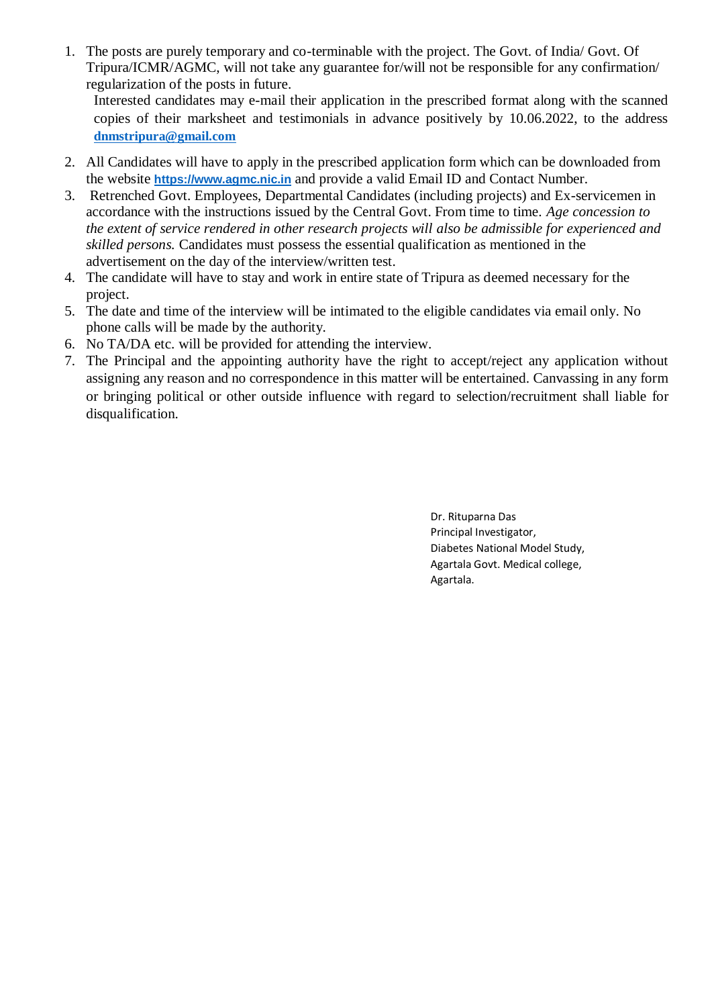1. The posts are purely temporary and co-terminable with the project. The Govt. of India/ Govt. Of Tripura/ICMR/AGMC, will not take any guarantee for/will not be responsible for any confirmation/ regularization of the posts in future.

Interested candidates may e-mail their application in the prescribed format along with the scanned copies of their marksheet and testimonials in advance positively by 10.06.2022, to the address **[dnmstripura@gmail.com](mailto:dnmstripura@gmail.com)**

- 2. All Candidates will have to apply in the prescribed application form which can be downloaded from the website **[https://www.agmc.nic.in](https://www.agmc.nic.in/)** and provide a valid Email ID and Contact Number.
- 3. Retrenched Govt. Employees, Departmental Candidates (including projects) and Ex-servicemen in accordance with the instructions issued by the Central Govt. From time to time. *Age concession to the extent of service rendered in other research projects will also be admissible for experienced and skilled persons.* Candidates must possess the essential qualification as mentioned in the advertisement on the day of the interview/written test.
- 4. The candidate will have to stay and work in entire state of Tripura as deemed necessary for the project.
- 5. The date and time of the interview will be intimated to the eligible candidates via email only. No phone calls will be made by the authority.
- 6. No TA/DA etc. will be provided for attending the interview.
- 7. The Principal and the appointing authority have the right to accept/reject any application without assigning any reason and no correspondence in this matter will be entertained. Canvassing in any form or bringing political or other outside influence with regard to selection/recruitment shall liable for disqualification.

Dr. Rituparna Das Principal Investigator, Diabetes National Model Study, Agartala Govt. Medical college, Agartala.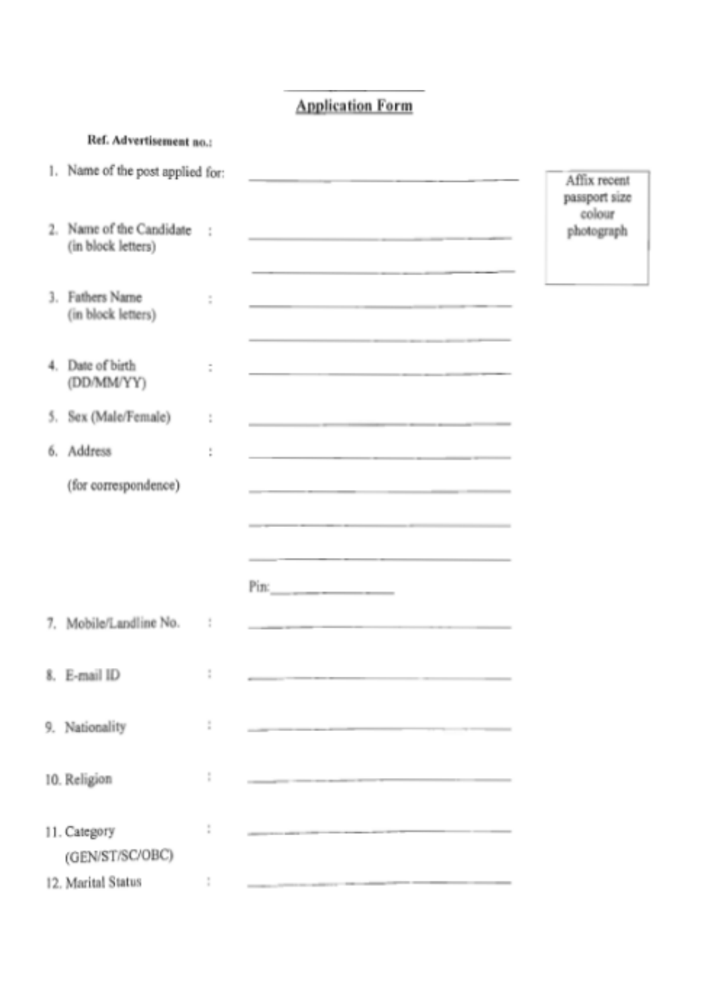# **Application Form**

|    | Ref. Advertisement no.:                        |               |                                                                                                                        |                                         |
|----|------------------------------------------------|---------------|------------------------------------------------------------------------------------------------------------------------|-----------------------------------------|
|    | 1. Name of the post applied for:               |               | <u> The Common State of the Common State of the Common State of the Common State of the Common State of the Common</u> | Affix recent<br>passport size<br>colour |
|    | 2. Name of the Candidate<br>(in block letters) | ÷.            |                                                                                                                        | photograph                              |
|    | 3. Fathers Name<br>(in block letters)          | š             | the contract of the contract of the contract of the contract of the contract of the contract of the contract of        |                                         |
|    | 4. Date of birth<br>(DD/MM/YY)                 | $\frac{1}{2}$ | the contract of the contract of the contract of the contract of the contract of the contract of                        |                                         |
| 5. | Sex (Male/Female)                              | ţ             |                                                                                                                        |                                         |
| 6. | Address                                        | ţ.            |                                                                                                                        |                                         |
|    | (for correspondence)                           |               |                                                                                                                        |                                         |
|    |                                                |               |                                                                                                                        |                                         |
|    |                                                |               |                                                                                                                        |                                         |
| 7. | Mobile/Landline No.                            | ţ             | the contract of the contract of the contract of the contract of the contract of                                        |                                         |
|    | 8. E-mail ID                                   | ţ             |                                                                                                                        |                                         |
|    | 9. Nationality                                 | ĵ.            | the contract of the contract of the contract of the contract of the contract of                                        |                                         |
|    | 10. Religion                                   | I.            |                                                                                                                        |                                         |
|    | 11. Category<br>(GEN/ST/SC/OBC)                | ÷             | the contract of the contract of the contract of the contract of the contract of the contract of the contract of        |                                         |
|    | 12. Marital Status                             | I.            |                                                                                                                        |                                         |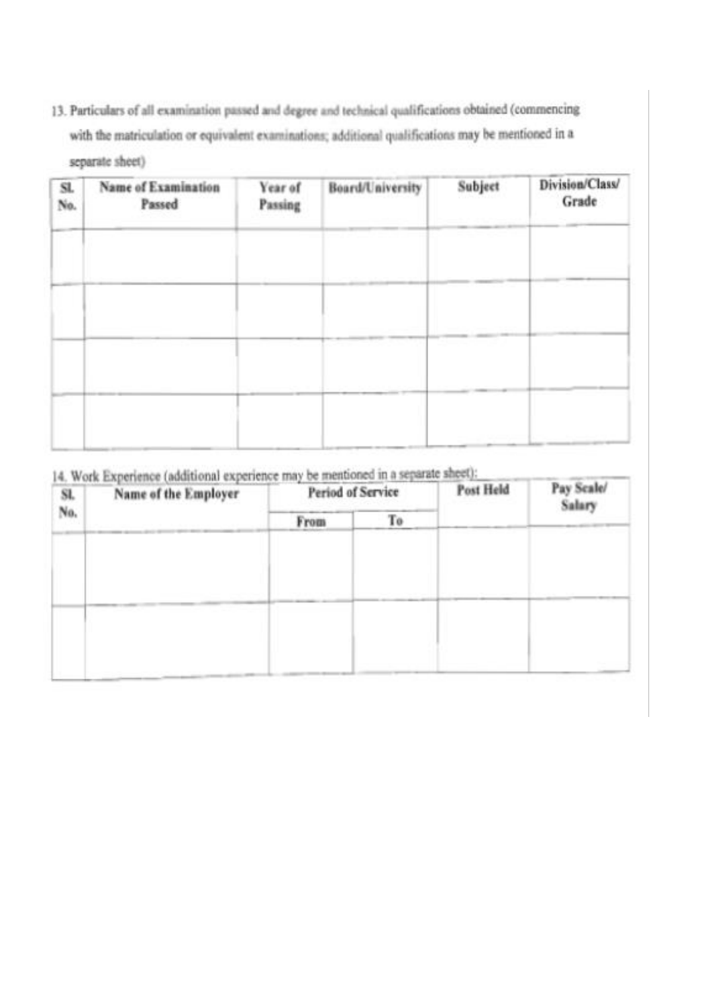13. Particulars of all examination passed and degree and technical qualifications obtained (commencing with the matriculation or equivalent examinations; additional qualifications may be mentioned in a separate sheet)

| Sl.<br>No. | <b>Name of Examination</b><br>Passed | Year of<br>Passing | Board/University | Subject | Division/Class/<br>Grade |
|------------|--------------------------------------|--------------------|------------------|---------|--------------------------|
|            |                                      |                    |                  |         |                          |
|            |                                      |                    |                  |         |                          |
|            |                                      |                    |                  |         |                          |
|            |                                      |                    |                  |         |                          |
|            |                                      |                    |                  |         |                          |

14. Work Experience (additional experience may be mentioned in a separate sheet):

| Sl.<br>No. | The means of the change of<br>Name of the Employer | <b>Period of Service</b> |    | Post Held | Pay Scale/<br>Salary |
|------------|----------------------------------------------------|--------------------------|----|-----------|----------------------|
|            |                                                    | From                     | Тo |           |                      |
|            |                                                    |                          |    |           |                      |
|            |                                                    |                          |    |           |                      |
|            |                                                    |                          |    |           |                      |